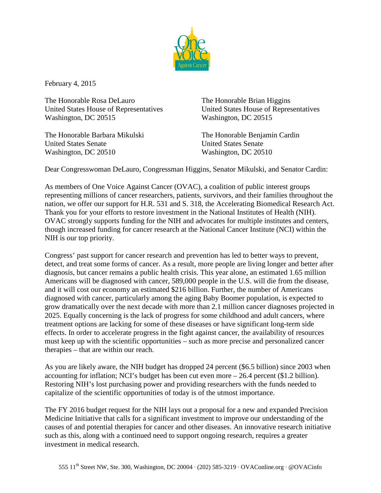

February 4, 2015

The Honorable Rosa DeLauro The Honorable Brian Higgins United States House of Representatives United States House of Representatives Washington, DC 20515 Washington, DC 20515

The Honorable Barbara Mikulski The Honorable Benjamin Cardin United States Senate United States Senate Washington, DC 20510 Washington, DC 20510

Dear Congresswoman DeLauro, Congressman Higgins, Senator Mikulski, and Senator Cardin:

As members of One Voice Against Cancer (OVAC), a coalition of public interest groups representing millions of cancer researchers, patients, survivors, and their families throughout the nation, we offer our support for H.R. 531 and S. 318, the Accelerating Biomedical Research Act. Thank you for your efforts to restore investment in the National Institutes of Health (NIH). OVAC strongly supports funding for the NIH and advocates for multiple institutes and centers, though increased funding for cancer research at the National Cancer Institute (NCI) within the NIH is our top priority.

Congress' past support for cancer research and prevention has led to better ways to prevent, detect, and treat some forms of cancer. As a result, more people are living longer and better after diagnosis, but cancer remains a public health crisis. This year alone, an estimated 1.65 million Americans will be diagnosed with cancer, 589,000 people in the U.S. will die from the disease, and it will cost our economy an estimated \$216 billion. Further, the number of Americans diagnosed with cancer, particularly among the aging Baby Boomer population, is expected to grow dramatically over the next decade with more than 2.1 million cancer diagnoses projected in 2025. Equally concerning is the lack of progress for some childhood and adult cancers, where treatment options are lacking for some of these diseases or have significant long-term side effects. In order to accelerate progress in the fight against cancer, the availability of resources must keep up with the scientific opportunities – such as more precise and personalized cancer therapies – that are within our reach.

As you are likely aware, the NIH budget has dropped 24 percent (\$6.5 billion) since 2003 when accounting for inflation; NCI's budget has been cut even more – 26.4 percent (\$1.2 billion). Restoring NIH's lost purchasing power and providing researchers with the funds needed to capitalize of the scientific opportunities of today is of the utmost importance.

The FY 2016 budget request for the NIH lays out a proposal for a new and expanded Precision Medicine Initiative that calls for a significant investment to improve our understanding of the causes of and potential therapies for cancer and other diseases. An innovative research initiative such as this, along with a continued need to support ongoing research, requires a greater investment in medical research.